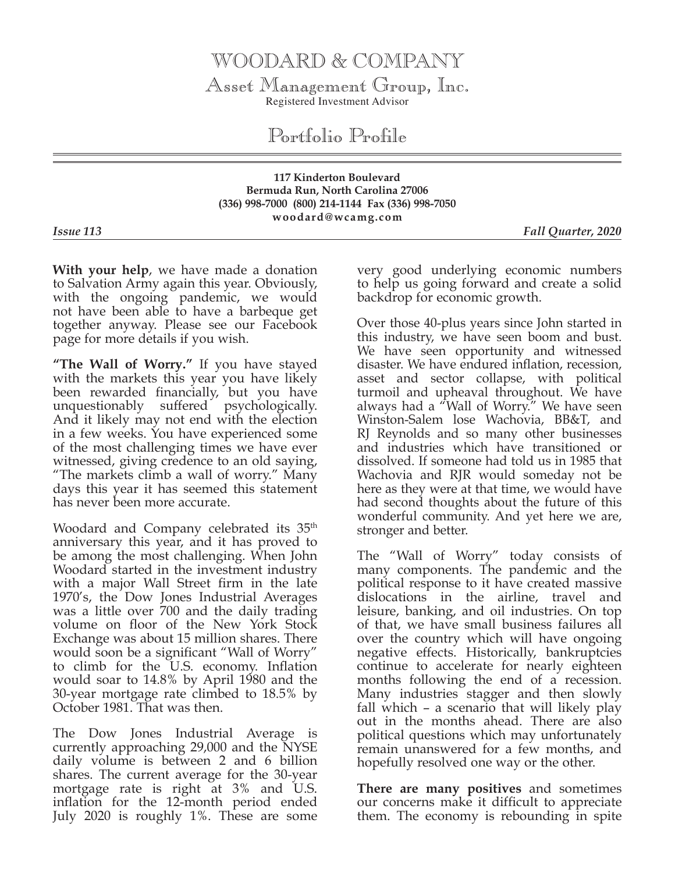## WOODARD & COMPANY

Asset Management Group, Inc. Registered Investment Advisor

Portfolio Profile

## **117 Kinderton Boulevard Bermuda Run, North Carolina 27006 (336) 998-7000 (800) 214-1144 Fax (336) 998-7050 woodard@wcamg.com**

*Issue 113 Fall Quarter, 2020*

**With your help**, we have made a donation to Salvation Army again this year. Obviously, with the ongoing pandemic, we would not have been able to have a barbeque get together anyway. Please see our Facebook page for more details if you wish.

**"The Wall of Worry."** If you have stayed with the markets this year you have likely been rewarded financially, but you have unquestionably suffered psychologically. And it likely may not end with the election in a few weeks. You have experienced some of the most challenging times we have ever witnessed, giving credence to an old saying, "The markets climb a wall of worry." Many days this year it has seemed this statement has never been more accurate.

Woodard and Company celebrated its 35<sup>th</sup> anniversary this year, and it has proved to be among the most challenging. When John Woodard started in the investment industry with a major Wall Street firm in the late 1970's, the Dow Jones Industrial Averages was a little over 700 and the daily trading volume on floor of the New York Stock Exchange was about 15 million shares. There would soon be a significant "Wall of Worry" to climb for the U.S. economy. Inflation would soar to 14.8% by April 1980 and the 30-year mortgage rate climbed to 18.5% by October 1981. That was then.

The Dow Jones Industrial Average is currently approaching 29,000 and the NYSE daily volume is between 2 and 6 billion shares. The current average for the 30-year mortgage rate is right at 3% and U.S. inflation for the 12-month period ended July 2020 is roughly 1%. These are some very good underlying economic numbers to help us going forward and create a solid backdrop for economic growth.

Over those 40-plus years since John started in this industry, we have seen boom and bust. We have seen opportunity and witnessed disaster. We have endured inflation, recession, asset and sector collapse, with political turmoil and upheaval throughout. We have always had a "Wall of Worry." We have seen Winston-Salem lose Wachovia, BB&T, and RJ Reynolds and so many other businesses and industries which have transitioned or dissolved. If someone had told us in 1985 that Wachovia and RJR would someday not be here as they were at that time, we would have had second thoughts about the future of this wonderful community. And yet here we are, stronger and better.

The "Wall of Worry" today consists of many components. The pandemic and the political response to it have created massive dislocations in the airline, travel and leisure, banking, and oil industries. On top of that, we have small business failures all over the country which will have ongoing negative effects. Historically, bankruptcies continue to accelerate for nearly eighteen months following the end of a recession. Many industries stagger and then slowly fall which – a scenario that will likely play out in the months ahead. There are also political questions which may unfortunately remain unanswered for a few months, and hopefully resolved one way or the other.

**There are many positives** and sometimes our concerns make it difficult to appreciate them. The economy is rebounding in spite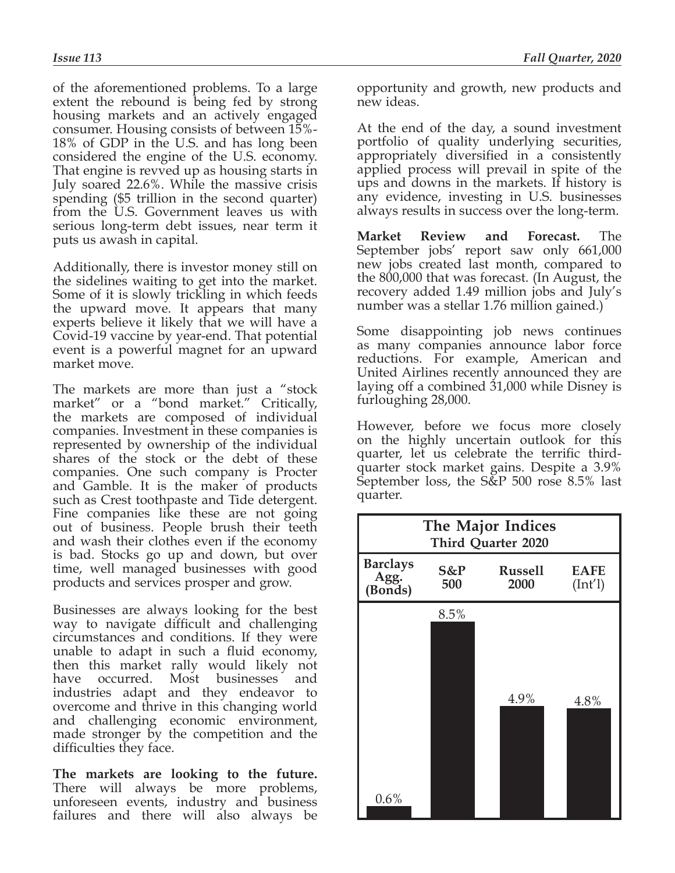of the aforementioned problems. To a large extent the rebound is being fed by strong housing markets and an actively engaged consumer. Housing consists of between 15%- 18% of GDP in the U.S. and has long been considered the engine of the U.S. economy. That engine is revved up as housing starts in July soared 22.6%. While the massive crisis spending (\$5 trillion in the second quarter) from the U.S. Government leaves us with serious long-term debt issues, near term it puts us awash in capital.

Additionally, there is investor money still on the sidelines waiting to get into the market. Some of it is slowly trickling in which feeds the upward move. It appears that many experts believe it likely that we will have a Covid-19 vaccine by year-end. That potential event is a powerful magnet for an upward market move.

The markets are more than just a "stock market" or a "bond market." Critically, the markets are composed of individual companies. Investment in these companies is represented by ownership of the individual shares of the stock or the debt of these companies. One such company is Procter and Gamble. It is the maker of products such as Crest toothpaste and Tide detergent. Fine companies like these are not going out of business. People brush their teeth and wash their clothes even if the economy is bad. Stocks go up and down, but over time, well managed businesses with good products and services prosper and grow.

Businesses are always looking for the best way to navigate difficult and challenging circumstances and conditions. If they were unable to adapt in such a fluid economy, then this market rally would likely not have occurred. Most businesses and industries adapt and they endeavor to overcome and thrive in this changing world and challenging economic environment, made stronger by the competition and the difficulties they face.

**The markets are looking to the future.** There will always be more problems, unforeseen events, industry and business failures and there will also always be opportunity and growth, new products and new ideas.

At the end of the day, a sound investment portfolio of quality underlying securities, appropriately diversified in a consistently applied process will prevail in spite of the ups and downs in the markets. If history is any evidence, investing in U.S. businesses always results in success over the long-term.

**Market Review and Forecast.** The September jobs' report saw only 661,000 new jobs created last month, compared to the 800,000 that was forecast. (In August, the recovery added 1.49 million jobs and July's number was a stellar 1.76 million gained.)

Some disappointing job news continues as many companies announce labor force reductions. For example, American and United Airlines recently announced they are laying off a combined 31,000 while Disney is furloughing 28,000.

However, before we focus more closely on the highly uncertain outlook for this quarter, let us celebrate the terrific thirdquarter stock market gains. Despite a 3.9% September loss, the S&P 500 rose 8.5% last quarter.

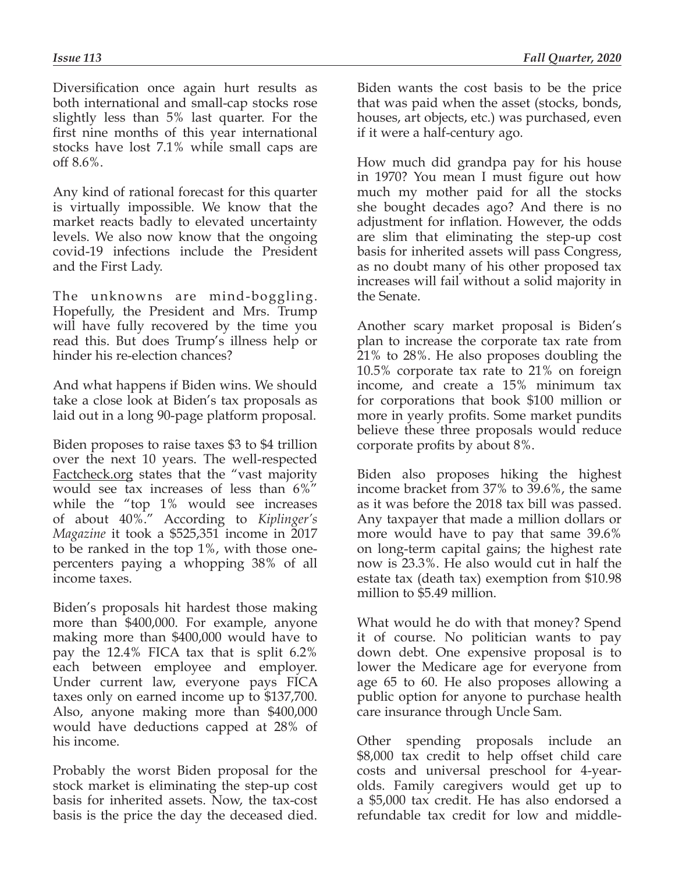Diversification once again hurt results as both international and small-cap stocks rose slightly less than 5% last quarter. For the first nine months of this year international stocks have lost 7.1% while small caps are off 8.6%.

Any kind of rational forecast for this quarter is virtually impossible. We know that the market reacts badly to elevated uncertainty levels. We also now know that the ongoing covid-19 infections include the President and the First Lady.

The unknowns are mind-boggling. Hopefully, the President and Mrs. Trump will have fully recovered by the time you read this. But does Trump's illness help or hinder his re-election chances?

And what happens if Biden wins. We should take a close look at Biden's tax proposals as laid out in a long 90-page platform proposal.

Biden proposes to raise taxes \$3 to \$4 trillion over the next 10 years. The well-respected Factcheck.org states that the "vast majority would see tax increases of less than 6%" while the "top 1% would see increases of about 40%." According to *Kiplinger's Magazine* it took a \$525,351 income in 2017 to be ranked in the top 1%, with those onepercenters paying a whopping 38% of all income taxes.

Biden's proposals hit hardest those making more than \$400,000. For example, anyone making more than \$400,000 would have to pay the 12.4% FICA tax that is split 6.2% each between employee and employer. Under current law, everyone pays FICA taxes only on earned income up to \$137,700. Also, anyone making more than \$400,000 would have deductions capped at 28% of his income.

Probably the worst Biden proposal for the stock market is eliminating the step-up cost basis for inherited assets. Now, the tax-cost basis is the price the day the deceased died.

Biden wants the cost basis to be the price that was paid when the asset (stocks, bonds, houses, art objects, etc.) was purchased, even if it were a half-century ago.

How much did grandpa pay for his house in 1970? You mean I must figure out how much my mother paid for all the stocks she bought decades ago? And there is no adjustment for inflation. However, the odds are slim that eliminating the step-up cost basis for inherited assets will pass Congress, as no doubt many of his other proposed tax increases will fail without a solid majority in the Senate.

Another scary market proposal is Biden's plan to increase the corporate tax rate from 21% to 28%. He also proposes doubling the 10.5% corporate tax rate to 21% on foreign income, and create a 15% minimum tax for corporations that book \$100 million or more in yearly profits. Some market pundits believe these three proposals would reduce corporate profits by about 8%.

Biden also proposes hiking the highest income bracket from 37% to 39.6%, the same as it was before the 2018 tax bill was passed. Any taxpayer that made a million dollars or more would have to pay that same 39.6% on long-term capital gains; the highest rate now is 23.3%. He also would cut in half the estate tax (death tax) exemption from \$10.98 million to \$5.49 million.

What would he do with that money? Spend it of course. No politician wants to pay down debt. One expensive proposal is to lower the Medicare age for everyone from age 65 to 60. He also proposes allowing a public option for anyone to purchase health care insurance through Uncle Sam.

Other spending proposals include an \$8,000 tax credit to help offset child care costs and universal preschool for 4-yearolds. Family caregivers would get up to a \$5,000 tax credit. He has also endorsed a refundable tax credit for low and middle